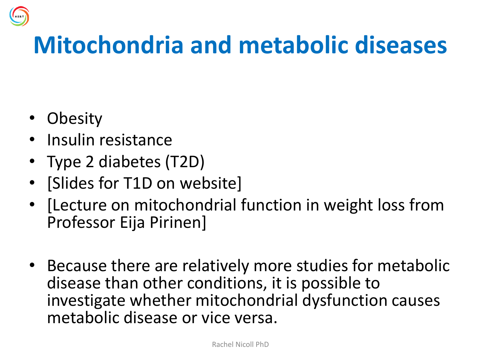## **Mitochondria and metabolic diseases**

- Obesity
- Insulin resistance
- Type 2 diabetes (T2D)
- [Slides for T1D on website]
- [Lecture on mitochondrial function in weight loss from Professor Eija Pirinen]
- Because there are relatively more studies for metabolic disease than other conditions, it is possible to investigate whether mitochondrial dysfunction causes metabolic disease or vice versa.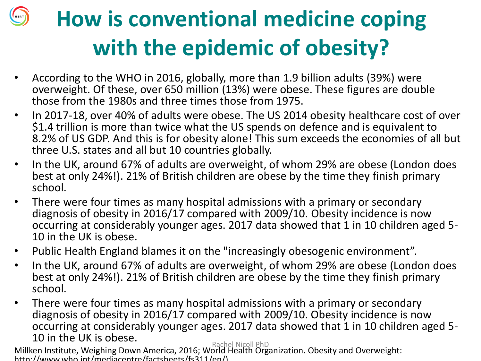## **How is conventional medicine coping with the epidemic of obesity?**

- According to the WHO in 2016, globally, more than 1.9 billion adults (39%) were overweight. Of these, over 650 million (13%) were obese. These figures are double those from the 1980s and three times those from 1975.
- In 2017-18, over 40% of adults were obese. The US 2014 obesity healthcare cost of over \$1.4 trillion is more than twice what the US spends on defence and is equivalent to 8.2% of US GDP. And this is for obesity alone! This sum exceeds the economies of all but three U.S. states and all but 10 countries globally.
- In the UK, around 67% of adults are overweight, of whom 29% are obese (London does best at only 24%!). 21% of British children are obese by the time they finish primary school.
- There were four times as many hospital admissions with a primary or secondary diagnosis of obesity in 2016/17 compared with 2009/10. Obesity incidence is now occurring at considerably younger ages. 2017 data showed that 1 in 10 children aged 5- 10 in the UK is obese.
- Public Health England blames it on the "increasingly obesogenic environment".
- In the UK, around 67% of adults are overweight, of whom 29% are obese (London does best at only 24%!). 21% of British children are obese by the time they finish primary school.
- There were four times as many hospital admissions with a primary or secondary diagnosis of obesity in 2016/17 compared with 2009/10. Obesity incidence is now occurring at considerably younger ages. 2017 data showed that 1 in 10 children aged 5- 10 in the UK is obese.

Millken Institute, Weighing Down America, 2016; World Health Organization. Obesity and Overweight: http://www.who.int/mediacentre/factsheets/fs311/en/) Rachel Nicoll PhD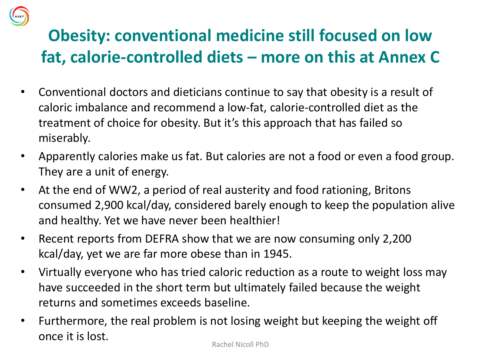#### **Obesity: conventional medicine still focused on low fat, calorie-controlled diets – more on this at Annex C**

- Conventional doctors and dieticians continue to say that obesity is a result of caloric imbalance and recommend a low-fat, calorie-controlled diet as the treatment of choice for obesity. But it's this approach that has failed so miserably.
- Apparently calories make us fat. But calories are not a food or even a food group. They are a unit of energy.
- At the end of WW2, a period of real austerity and food rationing, Britons consumed 2,900 kcal/day, considered barely enough to keep the population alive and healthy. Yet we have never been healthier!
- Recent reports from DEFRA show that we are now consuming only 2,200 kcal/day, yet we are far more obese than in 1945.
- Virtually everyone who has tried caloric reduction as a route to weight loss may have succeeded in the short term but ultimately failed because the weight returns and sometimes exceeds baseline.
- Furthermore, the real problem is not losing weight but keeping the weight off once it is lost.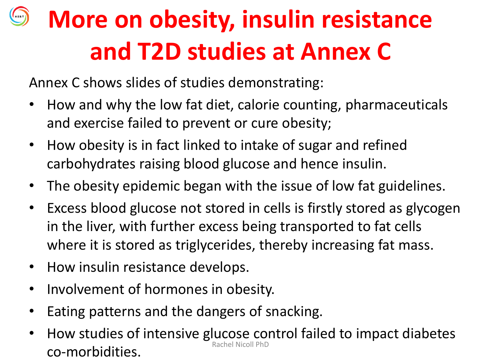## **More on obesity, insulin resistance and T2D studies at Annex C**

Annex C shows slides of studies demonstrating:

- How and why the low fat diet, calorie counting, pharmaceuticals and exercise failed to prevent or cure obesity;
- How obesity is in fact linked to intake of sugar and refined carbohydrates raising blood glucose and hence insulin.
- The obesity epidemic began with the issue of low fat guidelines.
- Excess blood glucose not stored in cells is firstly stored as glycogen in the liver, with further excess being transported to fat cells where it is stored as triglycerides, thereby increasing fat mass.
- How insulin resistance develops.
- Involvement of hormones in obesity.
- Eating patterns and the dangers of snacking.
- How studies of intensive glucose control failed to impact diabetes co-morbidities.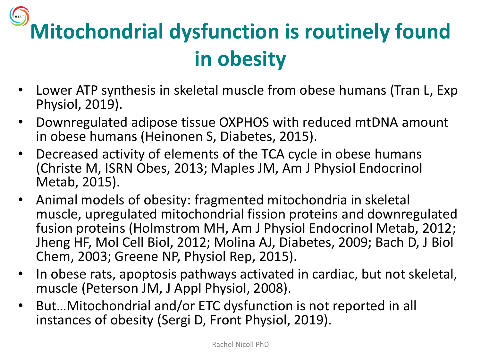## **Mitochondrial dysfunction is routinely found in obesity**

- Lower ATP synthesis in skeletal muscle from obese humans (Tran L, Exp Physiol, 2019).
- Downregulated adipose tissue OXPHOS with reduced mtDNA amount in obese humans (Heinonen S, Diabetes, 2015).
- Decreased activity of elements of the TCA cycle in obese humans (Christe M, ISRN Obes, 2013; Maples JM, Am J Physiol Endocrinol Metab, 2015).
- Animal models of obesity: fragmented mitochondria in skeletal muscle, upregulated mitochondrial fission proteins and downregulated fusion proteins (Holmstrom MH, Am J Physiol Endocrinol Metab, 2012; Jheng HF, Mol Cell Biol, 2012; Molina AJ, Diabetes, 2009; Bach D, J Biol Chem, 2003; Greene NP, Physiol Rep, 2015).
- In obese rats, apoptosis pathways activated in cardiac, but not skeletal, muscle (Peterson JM, J Appl Physiol, 2008).
- But…Mitochondrial and/or ETC dysfunction is not reported in all instances of obesity (Sergi D, Front Physiol, 2019).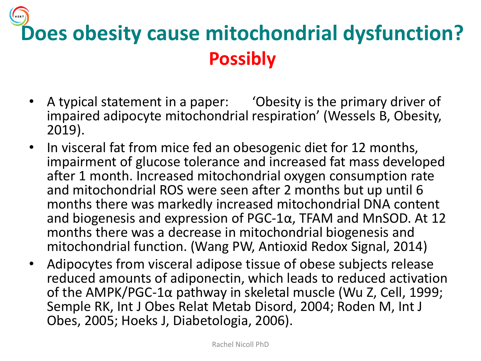## **Does obesity cause mitochondrial dysfunction? Possibly**

- A typical statement in a paper: 'Obesity is the primary driver of impaired adipocyte mitochondrial respiration' (Wessels B, Obesity, 2019).
- In visceral fat from mice fed an obesogenic diet for 12 months, impairment of glucose tolerance and increased fat mass developed after 1 month. Increased mitochondrial oxygen consumption rate and mitochondrial ROS were seen after 2 months but up until 6 months there was markedly increased mitochondrial DNA content and biogenesis and expression of PGC-1α, TFAM and MnSOD. At 12 months there was a decrease in mitochondrial biogenesis and mitochondrial function. (Wang PW, Antioxid Redox Signal, 2014)
- Adipocytes from visceral adipose tissue of obese subjects release reduced amounts of adiponectin, which leads to reduced activation of the AMPK/PGC-1α pathway in skeletal muscle (Wu Z, Cell, 1999; Semple RK, Int J Obes Relat Metab Disord, 2004; Roden M, Int J Obes, 2005; Hoeks J, Diabetologia, 2006).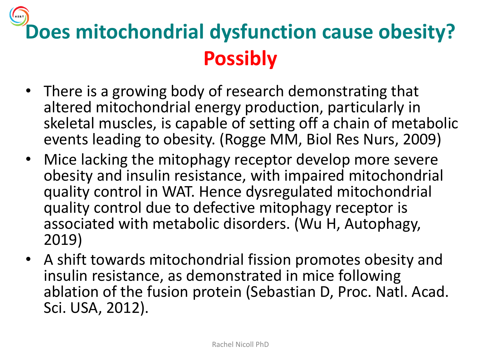## **Does mitochondrial dysfunction cause obesity? Possibly**

- There is a growing body of research demonstrating that altered mitochondrial energy production, particularly in skeletal muscles, is capable of setting off a chain of metabolic events leading to obesity. (Rogge MM, Biol Res Nurs, 2009)
- Mice lacking the mitophagy receptor develop more severe obesity and insulin resistance, with impaired mitochondrial quality control in WAT. Hence dysregulated mitochondrial quality control due to defective mitophagy receptor is associated with metabolic disorders. (Wu H, Autophagy, 2019)
- A shift towards mitochondrial fission promotes obesity and insulin resistance, as demonstrated in mice following ablation of the fusion protein (Sebastian D, Proc. Natl. Acad. Sci. USA, 2012).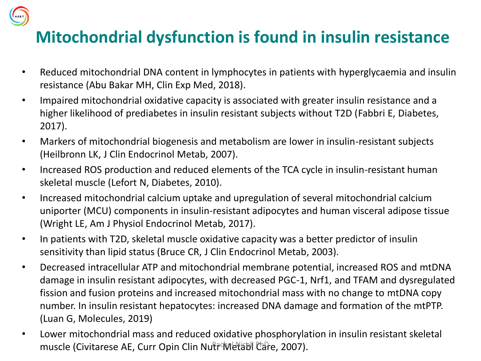

#### **Mitochondrial dysfunction is found in insulin resistance**

- Reduced mitochondrial DNA content in lymphocytes in patients with hyperglycaemia and insulin resistance (Abu Bakar MH, Clin Exp Med, 2018).
- Impaired mitochondrial oxidative capacity is associated with greater insulin resistance and a higher likelihood of prediabetes in insulin resistant subjects without T2D (Fabbri E, Diabetes, 2017).
- Markers of mitochondrial biogenesis and metabolism are lower in insulin-resistant subjects (Heilbronn LK, J Clin Endocrinol Metab, 2007).
- Increased ROS production and reduced elements of the TCA cycle in insulin-resistant human skeletal muscle (Lefort N, Diabetes, 2010).
- Increased mitochondrial calcium uptake and upregulation of several mitochondrial calcium uniporter (MCU) components in insulin-resistant adipocytes and human visceral adipose tissue (Wright LE, Am J Physiol Endocrinol Metab, 2017).
- In patients with T2D, skeletal muscle oxidative capacity was a better predictor of insulin sensitivity than lipid status (Bruce CR, J Clin Endocrinol Metab, 2003).
- Decreased intracellular ATP and mitochondrial membrane potential, increased ROS and mtDNA damage in insulin resistant adipocytes, with decreased PGC-1, Nrf1, and TFAM and dysregulated fission and fusion proteins and increased mitochondrial mass with no change to mtDNA copy number. In insulin resistant hepatocytes: increased DNA damage and formation of the mtPTP. (Luan G, Molecules, 2019)
- Lower mitochondrial mass and reduced oxidative phosphorylation in insulin resistant skeletal muscle (Civitarese AE, Curr Opin Clin Nutr Metabl Care, 2007).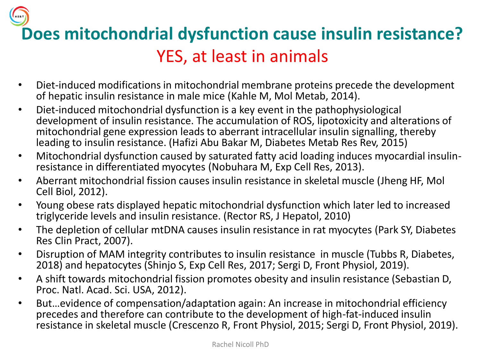**Does mitochondrial dysfunction cause insulin resistance?** YES, at least in animals

- Diet-induced modifications in mitochondrial membrane proteins precede the development of hepatic insulin resistance in male mice (Kahle M, Mol Metab, 2014).
- Diet-induced mitochondrial dysfunction is a key event in the pathophysiological development of insulin resistance. The accumulation of ROS, lipotoxicity and alterations of mitochondrial gene expression leads to aberrant intracellular insulin signalling, thereby leading to insulin resistance. (Hafizi Abu Bakar M, Diabetes Metab Res Rev, 2015)
- Mitochondrial dysfunction caused by saturated fatty acid loading induces myocardial insulinresistance in differentiated myocytes (Nobuhara M, Exp Cell Res, 2013).
- Aberrant mitochondrial fission causes insulin resistance in skeletal muscle (Jheng HF, Mol Cell Biol, 2012).
- Young obese rats displayed hepatic mitochondrial dysfunction which later led to increased triglyceride levels and insulin resistance. (Rector RS, J Hepatol, 2010)
- The depletion of cellular mtDNA causes insulin resistance in rat myocytes (Park SY, Diabetes Res Clin Pract, 2007).
- Disruption of MAM integrity contributes to insulin resistance in muscle (Tubbs R, Diabetes, 2018) and hepatocytes (Shinjo S, Exp Cell Res, 2017; Sergi D, Front Physiol, 2019).
- A shift towards mitochondrial fission promotes obesity and insulin resistance (Sebastian D, Proc. Natl. Acad. Sci. USA, 2012).
- But…evidence of compensation/adaptation again: An increase in mitochondrial efficiency precedes and therefore can contribute to the development of high-fat-induced insulin resistance in skeletal muscle (Crescenzo R, Front Physiol, 2015; Sergi D, Front Physiol, 2019).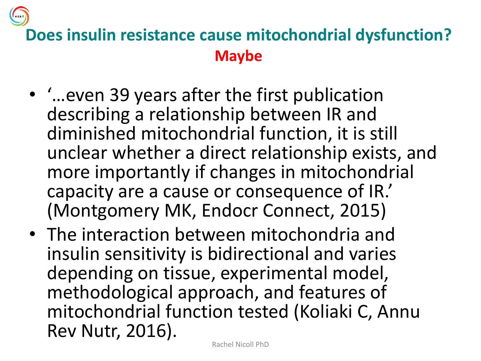

#### **Does insulin resistance cause mitochondrial dysfunction? Maybe**

- '…even 39 years after the first publication describing a relationship between IR and diminished mitochondrial function, it is still unclear whether a direct relationship exists, and more importantly if changes in mitochondrial capacity are a cause or consequence of IR.' (Montgomery MK, Endocr Connect, 2015)
- The interaction between mitochondria and insulin sensitivity is bidirectional and varies depending on tissue, experimental model, methodological approach, and features of mitochondrial function tested (Koliaki C, Annu Rev Nutr, 2016).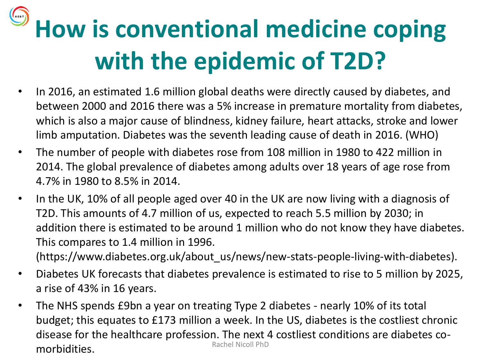## **How is conventional medicine coping with the epidemic of T2D?**

- In 2016, an estimated 1.6 million global deaths were directly caused by diabetes, and between 2000 and 2016 there was a 5% increase in premature mortality from diabetes, which is also a major cause of blindness, kidney failure, heart attacks, stroke and lower limb amputation. Diabetes was the seventh leading cause of death in 2016. (WHO)
- The number of people with diabetes rose from 108 million in 1980 to 422 million in 2014. The global prevalence of diabetes among adults over 18 years of age rose from 4.7% in 1980 to 8.5% in 2014.
- In the UK, 10% of all people aged over 40 in the UK are now living with a diagnosis of T2D. This amounts of 4.7 million of us, expected to reach 5.5 million by 2030; in addition there is estimated to be around 1 million who do not know they have diabetes. This compares to 1.4 million in 1996.

(https://www.diabetes.org.uk/about\_us/news/new-stats-people-living-with-diabetes).

- Diabetes UK forecasts that diabetes prevalence is estimated to rise to 5 million by 2025, a rise of 43% in 16 years.
- The NHS spends £9bn a year on treating Type 2 diabetes nearly 10% of its total budget; this equates to £173 million a week. In the US, diabetes is the costliest chronic disease for the healthcare profession. The next 4 costliest conditions are diabetes co-<br>Rachel Nicoll PhD morbidities.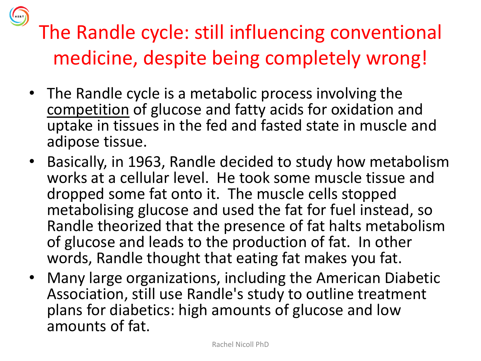

#### The Randle cycle: still influencing conventional medicine, despite being completely wrong!

- The Randle cycle is a metabolic process involving the competition of glucose and fatty acids for oxidation and uptake in tissues in the fed and fasted state in muscle and adipose tissue.
- Basically, in 1963, Randle decided to study how metabolism works at a cellular level. He took some muscle tissue and dropped some fat onto it. The muscle cells stopped metabolising glucose and used the fat for fuel instead, so Randle theorized that the presence of fat halts metabolism of glucose and leads to the production of fat. In other words, Randle thought that eating fat makes you fat.
- Many large organizations, including the American Diabetic Association, still use Randle's study to outline treatment plans for diabetics: high amounts of glucose and low amounts of fat.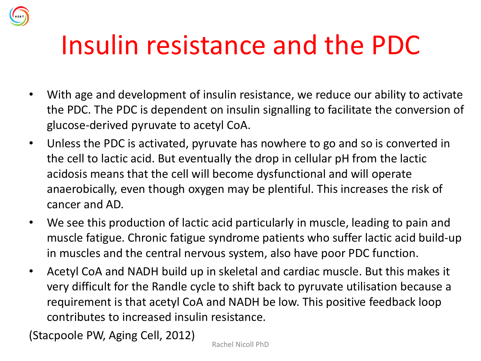## Insulin resistance and the PDC

- With age and development of insulin resistance, we reduce our ability to activate the PDC. The PDC is dependent on insulin signalling to facilitate the conversion of glucose-derived pyruvate to acetyl CoA.
- Unless the PDC is activated, pyruvate has nowhere to go and so is converted in the cell to lactic acid. But eventually the drop in cellular pH from the lactic acidosis means that the cell will become dysfunctional and will operate anaerobically, even though oxygen may be plentiful. This increases the risk of cancer and AD.
- We see this production of lactic acid particularly in muscle, leading to pain and muscle fatigue. Chronic fatigue syndrome patients who suffer lactic acid build-up in muscles and the central nervous system, also have poor PDC function.
- Acetyl CoA and NADH build up in skeletal and cardiac muscle. But this makes it very difficult for the Randle cycle to shift back to pyruvate utilisation because a requirement is that acetyl CoA and NADH be low. This positive feedback loop contributes to increased insulin resistance.

(Stacpoole PW, Aging Cell, 2012)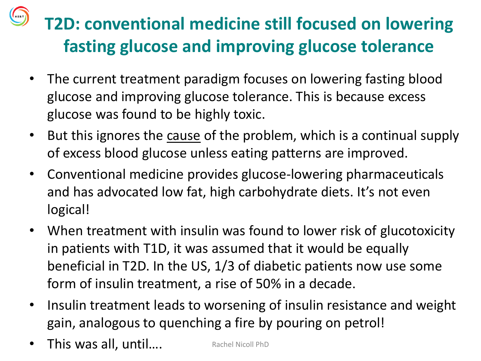#### **T2D: conventional medicine still focused on lowering fasting glucose and improving glucose tolerance**

- The current treatment paradigm focuses on lowering fasting blood glucose and improving glucose tolerance. This is because excess glucose was found to be highly toxic.
- But this ignores the cause of the problem, which is a continual supply of excess blood glucose unless eating patterns are improved.
- Conventional medicine provides glucose-lowering pharmaceuticals and has advocated low fat, high carbohydrate diets. It's not even logical!
- When treatment with insulin was found to lower risk of glucotoxicity in patients with T1D, it was assumed that it would be equally beneficial in T2D. In the US, 1/3 of diabetic patients now use some form of insulin treatment, a rise of 50% in a decade.
- Insulin treatment leads to worsening of insulin resistance and weight gain, analogous to quenching a fire by pouring on petrol!
- This was all, until.... Rachel Nicoll PhD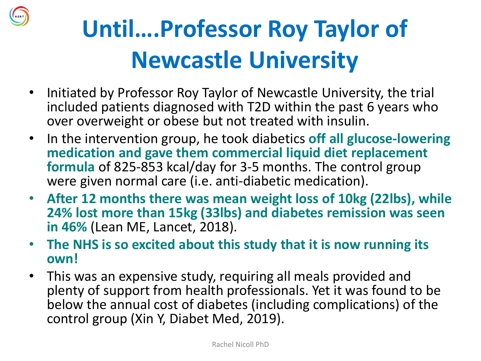

## **Until….Professor Roy Taylor of Newcastle University**

- Initiated by Professor Roy Taylor of Newcastle University, the trial included patients diagnosed with T2D within the past 6 years who over overweight or obese but not treated with insulin.
- In the intervention group, he took diabetics **off all glucose-lowering medication and gave them commercial liquid diet replacement formula** of 825-853 kcal/day for 3-5 months. The control group were given normal care (i.e. anti-diabetic medication).
- **After 12 months there was mean weight loss of 10kg (22lbs), while 24% lost more than 15kg (33lbs) and diabetes remission was seen in 46%** (Lean ME, Lancet, 2018).
- **The NHS is so excited about this study that it is now running its own!**
- This was an expensive study, requiring all meals provided and plenty of support from health professionals. Yet it was found to be below the annual cost of diabetes (including complications) of the control group (Xin Y, Diabet Med, 2019).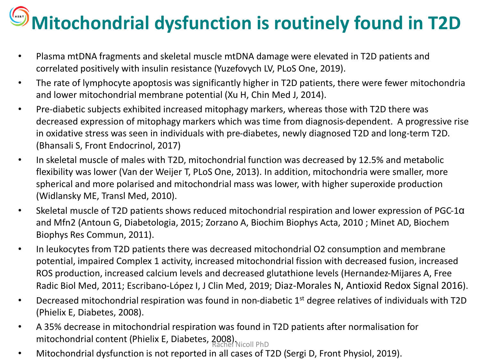## **Mitochondrial dysfunction is routinely found in T2D**

- Plasma mtDNA fragments and skeletal muscle mtDNA damage were elevated in T2D patients and correlated positively with insulin resistance (Yuzefovych LV, PLoS One, 2019).
- The rate of lymphocyte apoptosis was significantly higher in T2D patients, there were fewer mitochondria and lower mitochondrial membrane potential (Xu H, Chin Med J, 2014).
- Pre-diabetic subjects exhibited increased mitophagy markers, whereas those with T2D there was decreased expression of mitophagy markers which was time from diagnosis-dependent. A progressive rise in oxidative stress was seen in individuals with pre-diabetes, newly diagnosed T2D and long-term T2D. (Bhansali S, Front Endocrinol, 2017)
- In skeletal muscle of males with T2D, mitochondrial function was decreased by 12.5% and metabolic flexibility was lower (Van der Weijer T, PLoS One, 2013). In addition, mitochondria were smaller, more spherical and more polarised and mitochondrial mass was lower, with higher superoxide production (Widlansky ME, Transl Med, 2010).
- Skeletal muscle of T2D patients shows reduced mitochondrial respiration and lower expression of PGC-1α and Mfn2 (Antoun G, Diabetologia, 2015; Zorzano A, Biochim Biophys Acta, 2010 ; Minet AD, Biochem Biophys Res Commun, 2011).
- In leukocytes from T2D patients there was decreased mitochondrial O2 consumption and membrane potential, impaired Complex 1 activity, increased mitochondrial fission with decreased fusion, increased ROS production, increased calcium levels and decreased glutathione levels (Hernandez-Mijares A, Free Radic Biol Med, 2011; Escribano-López I, J Clin Med, 2019; Diaz-Morales N, Antioxid Redox Signal 2016).
- Decreased mitochondrial respiration was found in non-diabetic 1<sup>st</sup> degree relatives of individuals with T2D (Phielix E, Diabetes, 2008).
- A 35% decrease in mitochondrial respiration was found in T2D patients after normalisation for mitochondrial content (Phielix E, Diabetes, 2008).<br>Rachel Nicoll PhD
- Mitochondrial dysfunction is not reported in all cases of T2D (Sergi D, Front Physiol, 2019).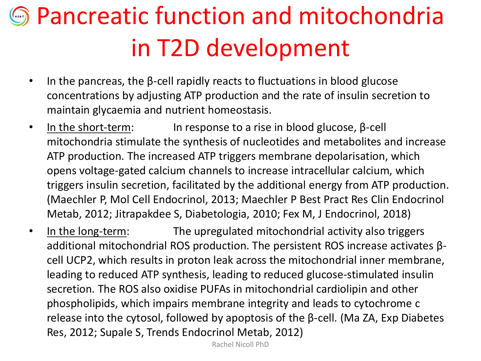## **S** Pancreatic function and mitochondria in T2D development

- In the pancreas, the β-cell rapidly reacts to fluctuations in blood glucose concentrations by adjusting ATP production and the rate of insulin secretion to maintain glycaemia and nutrient homeostasis.
- In the short-term: In response to a rise in blood glucose,  $\beta$ -cell mitochondria stimulate the synthesis of nucleotides and metabolites and increase ATP production. The increased ATP triggers membrane depolarisation, which opens voltage-gated calcium channels to increase intracellular calcium, which triggers insulin secretion, facilitated by the additional energy from ATP production. (Maechler P, Mol Cell Endocrinol, 2013; Maechler P Best Pract Res Clin Endocrinol Metab, 2012; Jitrapakdee S, Diabetologia, 2010; Fex M, J Endocrinol, 2018)
- In the long-term: The upregulated mitochondrial activity also triggers additional mitochondrial ROS production. The persistent ROS increase activates βcell UCP2, which results in proton leak across the mitochondrial inner membrane, leading to reduced ATP synthesis, leading to reduced glucose-stimulated insulin secretion. The ROS also oxidise PUFAs in mitochondrial cardiolipin and other phospholipids, which impairs membrane integrity and leads to cytochrome c release into the cytosol, followed by apoptosis of the β-cell. (Ma ZA, Exp Diabetes Res, 2012; Supale S, Trends Endocrinol Metab, 2012)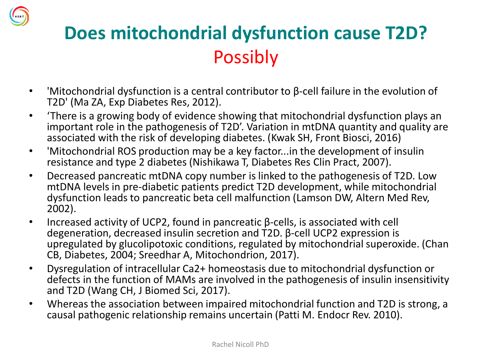

#### **Does mitochondrial dysfunction cause T2D?**  Possibly

- 'Mitochondrial dysfunction is a central contributor to β-cell failure in the evolution of T2D' (Ma ZA, Exp Diabetes Res, 2012).
- 'There is a growing body of evidence showing that mitochondrial dysfunction plays an important role in the pathogenesis of T2D'. Variation in mtDNA quantity and quality are associated with the risk of developing diabetes. (Kwak SH, Front Biosci, 2016)
- 'Mitochondrial ROS production may be a key factor...in the development of insulin resistance and type 2 diabetes (Nishikawa T, Diabetes Res Clin Pract, 2007).
- Decreased pancreatic mtDNA copy number is linked to the pathogenesis of T2D. Low mtDNA levels in pre-diabetic patients predict T2D development, while mitochondrial dysfunction leads to pancreatic beta cell malfunction (Lamson DW, Altern Med Rev, 2002).
- Increased activity of UCP2, found in pancreatic β-cells, is associated with cell degeneration, decreased insulin secretion and T2D. β-cell UCP2 expression is upregulated by glucolipotoxic conditions, regulated by mitochondrial superoxide. (Chan CB, Diabetes, 2004; Sreedhar A, Mitochondrion, 2017).
- Dysregulation of intracellular Ca2+ homeostasis due to mitochondrial dysfunction or defects in the function of MAMs are involved in the pathogenesis of insulin insensitivity and T2D (Wang CH, J Biomed Sci, 2017).
- Whereas the association between impaired mitochondrial function and T2D is strong, a causal pathogenic relationship remains uncertain (Patti M. Endocr Rev. 2010).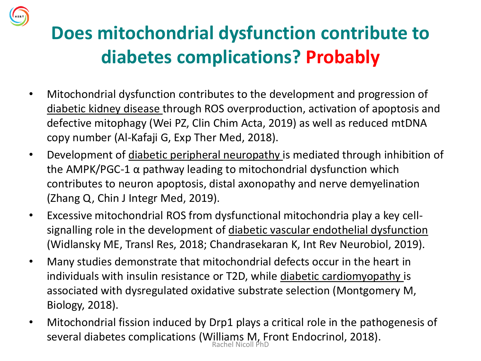#### **Does mitochondrial dysfunction contribute to diabetes complications? Probably**

- Mitochondrial dysfunction contributes to the development and progression of diabetic kidney disease through ROS overproduction, activation of apoptosis and defective mitophagy (Wei PZ, Clin Chim Acta, 2019) as well as reduced mtDNA copy number (Al-Kafaji G, Exp Ther Med, 2018).
- Development of diabetic peripheral neuropathy is mediated through inhibition of the AMPK/PGC-1  $\alpha$  pathway leading to mitochondrial dysfunction which contributes to neuron apoptosis, distal axonopathy and nerve demyelination (Zhang Q, Chin J Integr Med, 2019).
- Excessive mitochondrial ROS from dysfunctional mitochondria play a key cellsignalling role in the development of diabetic vascular endothelial dysfunction (Widlansky ME, Transl Res, 2018; Chandrasekaran K, Int Rev Neurobiol, 2019).
- Many studies demonstrate that mitochondrial defects occur in the heart in individuals with insulin resistance or T2D, while diabetic cardiomyopathy is associated with dysregulated oxidative substrate selection (Montgomery M, Biology, 2018).
- Mitochondrial fission induced by Drp1 plays a critical role in the pathogenesis of several diabetes complications (Williams M, Front Endocrinol, 2018). Rachel Nicoll PhD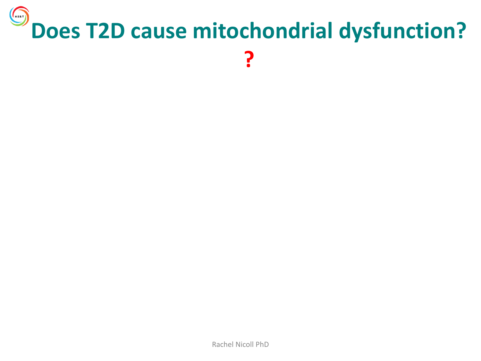#### $\bigodot$ **Does T2D cause mitochondrial dysfunction? ?**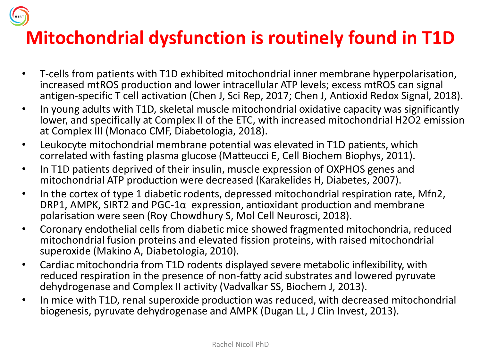

#### **Mitochondrial dysfunction is routinely found in T1D**

- T-cells from patients with T1D exhibited mitochondrial inner membrane hyperpolarisation, increased mtROS production and lower intracellular ATP levels; excess mtROS can signal antigen-specific T cell activation (Chen J, Sci Rep, 2017; Chen J, Antioxid Redox Signal, 2018).
- In young adults with T1D, skeletal muscle mitochondrial oxidative capacity was significantly lower, and specifically at Complex II of the ETC, with increased mitochondrial H2O2 emission at Complex III (Monaco CMF, Diabetologia, 2018).
- Leukocyte mitochondrial membrane potential was elevated in T1D patients, which correlated with fasting plasma glucose (Matteucci E, Cell Biochem Biophys, 2011).
- In T1D patients deprived of their insulin, muscle expression of OXPHOS genes and mitochondrial ATP production were decreased (Karakelides H, Diabetes, 2007).
- In the cortex of type 1 diabetic rodents, depressed mitochondrial respiration rate, Mfn2, DRP1, AMPK, SIRT2 and PGC-1 $\alpha$  expression, antioxidant production and membrane polarisation were seen (Roy Chowdhury S, Mol Cell Neurosci, 2018).
- Coronary endothelial cells from diabetic mice showed fragmented mitochondria, reduced mitochondrial fusion proteins and elevated fission proteins, with raised mitochondrial superoxide (Makino A, Diabetologia, 2010).
- Cardiac mitochondria from T1D rodents displayed severe metabolic inflexibility, with reduced respiration in the presence of non-fatty acid substrates and lowered pyruvate dehydrogenase and Complex II activity (Vadvalkar SS, Biochem J, 2013).
- In mice with T1D, renal superoxide production was reduced, with decreased mitochondrial biogenesis, pyruvate dehydrogenase and AMPK (Dugan LL, J Clin Invest, 2013).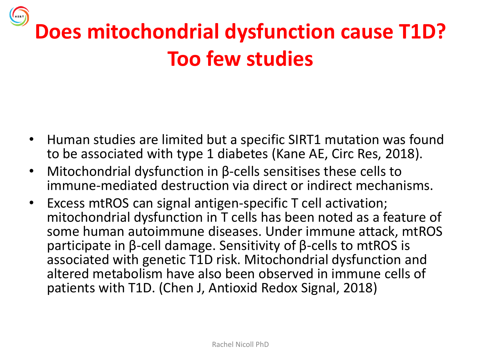## **Does mitochondrial dysfunction cause T1D? Too few studies**

- Human studies are limited but a specific SIRT1 mutation was found to be associated with type 1 diabetes (Kane AE, Circ Res, 2018).
- Mitochondrial dysfunction in β-cells sensitises these cells to immune-mediated destruction via direct or indirect mechanisms.
- Excess mtROS can signal antigen-specific T cell activation; mitochondrial dysfunction in T cells has been noted as a feature of some human autoimmune diseases. Under immune attack, mtROS participate in β-cell damage. Sensitivity of β-cells to mtROS is associated with genetic T1D risk. Mitochondrial dysfunction and altered metabolism have also been observed in immune cells of patients with T1D. (Chen J, Antioxid Redox Signal, 2018)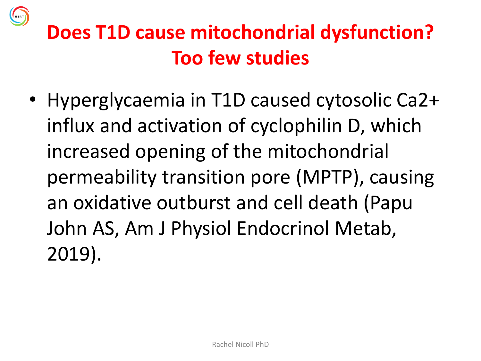

### **Does T1D cause mitochondrial dysfunction? Too few studies**

• Hyperglycaemia in T1D caused cytosolic Ca2+ influx and activation of cyclophilin D, which increased opening of the mitochondrial permeability transition pore (MPTP), causing an oxidative outburst and cell death (Papu John AS, Am J Physiol Endocrinol Metab, 2019).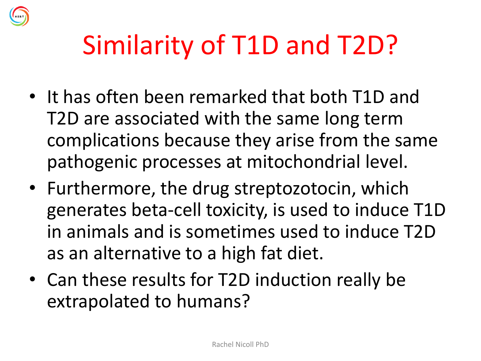

## Similarity of T1D and T2D?

- It has often been remarked that both T1D and T2D are associated with the same long term complications because they arise from the same pathogenic processes at mitochondrial level.
- Furthermore, the drug streptozotocin, which generates beta-cell toxicity, is used to induce T1D in animals and is sometimes used to induce T2D as an alternative to a high fat diet.
- Can these results for T2D induction really be extrapolated to humans?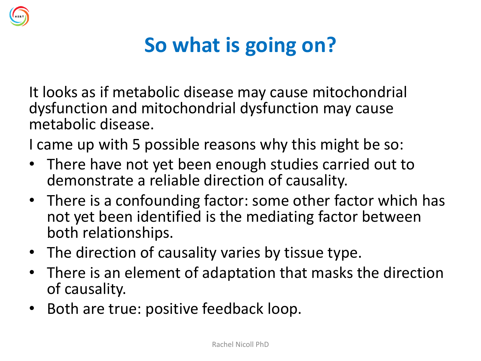

### **So what is going on?**

It looks as if metabolic disease may cause mitochondrial dysfunction and mitochondrial dysfunction may cause metabolic disease.

I came up with 5 possible reasons why this might be so:

- There have not yet been enough studies carried out to demonstrate a reliable direction of causality.
- There is a confounding factor: some other factor which has not yet been identified is the mediating factor between both relationships.
- The direction of causality varies by tissue type.
- There is an element of adaptation that masks the direction of causality.
- Both are true: positive feedback loop.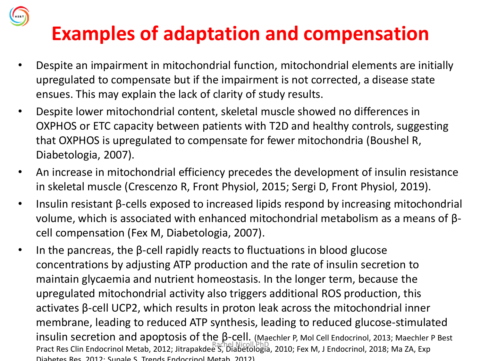#### **Examples of adaptation and compensation**

- Despite an impairment in mitochondrial function, mitochondrial elements are initially upregulated to compensate but if the impairment is not corrected, a disease state ensues. This may explain the lack of clarity of study results.
- Despite lower mitochondrial content, skeletal muscle showed no differences in OXPHOS or ETC capacity between patients with T2D and healthy controls, suggesting that OXPHOS is upregulated to compensate for fewer mitochondria (Boushel R, Diabetologia, 2007).
- An increase in mitochondrial efficiency precedes the development of insulin resistance in skeletal muscle (Crescenzo R, Front Physiol, 2015; Sergi D, Front Physiol, 2019).
- Insulin resistant β-cells exposed to increased lipids respond by increasing mitochondrial volume, which is associated with enhanced mitochondrial metabolism as a means of βcell compensation (Fex M, Diabetologia, 2007).
- In the pancreas, the β-cell rapidly reacts to fluctuations in blood glucose concentrations by adjusting ATP production and the rate of insulin secretion to maintain glycaemia and nutrient homeostasis. In the longer term, because the upregulated mitochondrial activity also triggers additional ROS production, this activates β-cell UCP2, which results in proton leak across the mitochondrial inner membrane, leading to reduced ATP synthesis, leading to reduced glucose-stimulated insulin secretion and apoptosis of the β-cell. (Maechler P, Mol Cell Endocrinol, 2013; Maechler P Best Pract Res Clin Endocrinol Metab, 2012; Jitrapakdee S, Diabetologia, 2010; Fex M, J Endocrinol, 2018; Ma ZA, Exp Diabetes Res, 2012; Supale S, Trends Endocrinol Metab, 2012)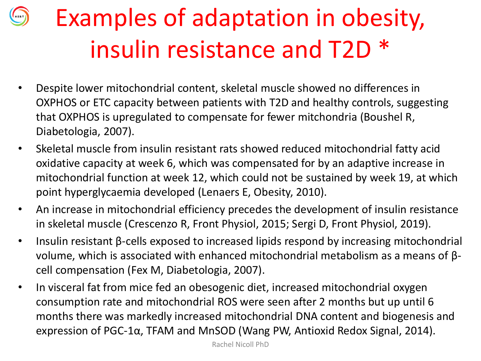## Examples of adaptation in obesity, insulin resistance and T2D \*

- Despite lower mitochondrial content, skeletal muscle showed no differences in OXPHOS or ETC capacity between patients with T2D and healthy controls, suggesting that OXPHOS is upregulated to compensate for fewer mitchondria (Boushel R, Diabetologia, 2007).
- Skeletal muscle from insulin resistant rats showed reduced mitochondrial fatty acid oxidative capacity at week 6, which was compensated for by an adaptive increase in mitochondrial function at week 12, which could not be sustained by week 19, at which point hyperglycaemia developed (Lenaers E, Obesity, 2010).
- An increase in mitochondrial efficiency precedes the development of insulin resistance in skeletal muscle (Crescenzo R, Front Physiol, 2015; Sergi D, Front Physiol, 2019).
- Insulin resistant β-cells exposed to increased lipids respond by increasing mitochondrial volume, which is associated with enhanced mitochondrial metabolism as a means of βcell compensation (Fex M, Diabetologia, 2007).
- In visceral fat from mice fed an obesogenic diet, increased mitochondrial oxygen consumption rate and mitochondrial ROS were seen after 2 months but up until 6 months there was markedly increased mitochondrial DNA content and biogenesis and expression of PGC-1α, TFAM and MnSOD (Wang PW, Antioxid Redox Signal, 2014).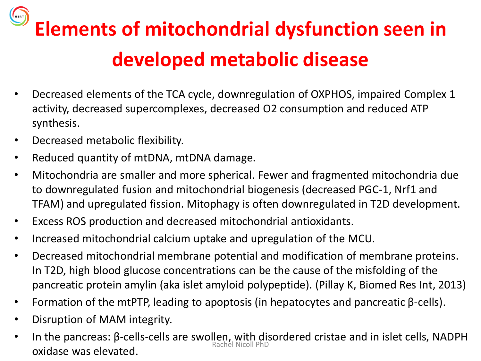**Elements of mitochondrial dysfunction seen in developed metabolic disease** 

- Decreased elements of the TCA cycle, downregulation of OXPHOS, impaired Complex 1 activity, decreased supercomplexes, decreased O2 consumption and reduced ATP synthesis.
- Decreased metabolic flexibility.
- Reduced quantity of mtDNA, mtDNA damage.
- Mitochondria are smaller and more spherical. Fewer and fragmented mitochondria due to downregulated fusion and mitochondrial biogenesis (decreased PGC-1, Nrf1 and TFAM) and upregulated fission. Mitophagy is often downregulated in T2D development.
- Excess ROS production and decreased mitochondrial antioxidants.
- Increased mitochondrial calcium uptake and upregulation of the MCU.
- Decreased mitochondrial membrane potential and modification of membrane proteins. In T2D, high blood glucose concentrations can be the cause of the misfolding of the pancreatic protein amylin (aka islet amyloid polypeptide). (Pillay K, Biomed Res Int, 2013)
- Formation of the mtPTP, leading to apoptosis (in hepatocytes and pancreatic β-cells).
- Disruption of MAM integrity.
- In the pancreas: β-cells-cells are swollen, with disordered cristae and in islet cells, NADPH **oxidase was elevated.** Rachel Nicoll PhD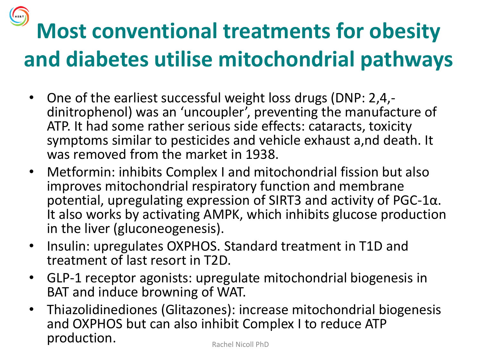## **Most conventional treatments for obesity and diabetes utilise mitochondrial pathways**

- One of the earliest successful weight loss drugs (DNP: 2,4, dinitrophenol) was an 'uncoupler', preventing the manufacture of ATP. It had some rather serious side effects: cataracts, toxicity symptoms similar to pesticides and vehicle exhaust a,nd death. It was removed from the market in 1938.
- Metformin: inhibits Complex I and mitochondrial fission but also improves mitochondrial respiratory function and membrane potential, upregulating expression of SIRT3 and activity of PGC-1α. It also works by activating AMPK, which inhibits glucose production in the liver (gluconeogenesis).
- Insulin: upregulates OXPHOS. Standard treatment in T1D and treatment of last resort in T2D.
- GLP-1 receptor agonists: upregulate mitochondrial biogenesis in BAT and induce browning of WAT.
- Thiazolidinediones (Glitazones): increase mitochondrial biogenesis and OXPHOS but can also inhibit Complex I to reduce ATP production. Rachel Nicoll PhD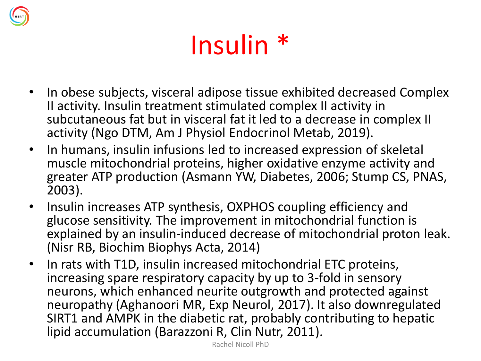

## Insulin \*

- In obese subjects, visceral adipose tissue exhibited decreased Complex II activity. Insulin treatment stimulated complex II activity in subcutaneous fat but in visceral fat it led to a decrease in complex II activity (Ngo DTM, Am J Physiol Endocrinol Metab, 2019).
- In humans, insulin infusions led to increased expression of skeletal muscle mitochondrial proteins, higher oxidative enzyme activity and greater ATP production (Asmann YW, Diabetes, 2006; Stump CS, PNAS, 2003).
- Insulin increases ATP synthesis, OXPHOS coupling efficiency and glucose sensitivity. The improvement in mitochondrial function is explained by an insulin-induced decrease of mitochondrial proton leak. (Nisr RB, Biochim Biophys Acta, 2014)
- In rats with T1D, insulin increased mitochondrial ETC proteins, increasing spare respiratory capacity by up to 3-fold in sensory neurons, which enhanced neurite outgrowth and protected against neuropathy (Aghanoori MR, Exp Neurol, 2017). It also downregulated SIRT1 and AMPK in the diabetic rat, probably contributing to hepatic lipid accumulation (Barazzoni R, Clin Nutr, 2011).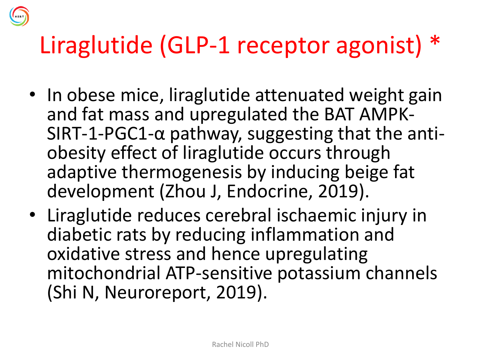

- In obese mice, liraglutide attenuated weight gain and fat mass and upregulated the BAT AMPK-SIRT-1-PGC1- $\alpha$  pathway, suggesting that the antiobesity effect of liraglutide occurs through adaptive thermogenesis by inducing beige fat development (Zhou J, Endocrine, 2019).
- Liraglutide reduces cerebral ischaemic injury in diabetic rats by reducing inflammation and oxidative stress and hence upregulating mitochondrial ATP-sensitive potassium channels (Shi N, Neuroreport, 2019).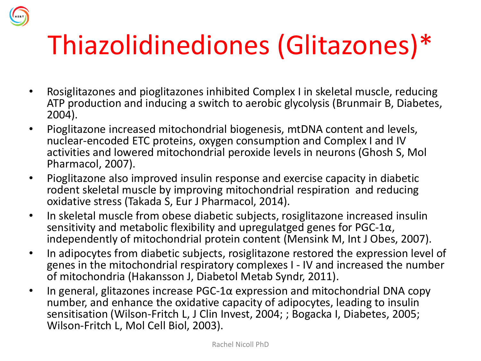## Thiazolidinediones (Glitazones)\*

- Rosiglitazones and pioglitazones inhibited Complex I in skeletal muscle, reducing ATP production and inducing a switch to aerobic glycolysis (Brunmair B, Diabetes, 2004).
- Pioglitazone increased mitochondrial biogenesis, mtDNA content and levels, nuclear-encoded ETC proteins, oxygen consumption and Complex I and IV activities and lowered mitochondrial peroxide levels in neurons (Ghosh S, Mol Pharmacol, 2007).
- Pioglitazone also improved insulin response and exercise capacity in diabetic rodent skeletal muscle by improving mitochondrial respiration and reducing oxidative stress (Takada S, Eur J Pharmacol, 2014).
- In skeletal muscle from obese diabetic subjects, rosiglitazone increased insulin sensitivity and metabolic flexibility and upregulatged genes for  $PGC-1\alpha$ , independently of mitochondrial protein content (Mensink M, Int J Obes, 2007).
- In adipocytes from diabetic subjects, rosiglitazone restored the expression level of genes in the mitochondrial respiratory complexes I - IV and increased the number of mitochondria (Hakansson J, Diabetol Metab Syndr, 2011).
- In general, glitazones increase PGC-1α expression and mitochondrial DNA copy number, and enhance the oxidative capacity of adipocytes, leading to insulin sensitisation (Wilson-Fritch L, J Clin Invest, 2004; ; Bogacka I, Diabetes, 2005; Wilson-Fritch L, Mol Cell Biol, 2003).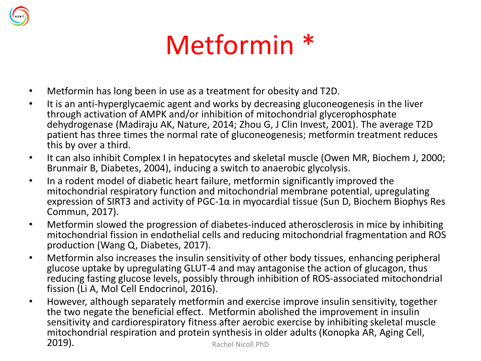

- Metformin has long been in use as a treatment for obesity and T2D.
- It is an anti-hyperglycaemic agent and works by decreasing gluconeogenesis in the liver through activation of AMPK and/or inhibition of mitochondrial glycerophosphate dehydrogenase (Madiraju AK, Nature, 2014; Zhou G, J Clin Invest, 2001). The average T2D patient has three times the normal rate of gluconeogenesis; metformin treatment reduces this by over a third.
- It can also inhibit Complex I in hepatocytes and skeletal muscle (Owen MR, Biochem J, 2000; Brunmair B, Diabetes, 2004), inducing a switch to anaerobic glycolysis.
- In a rodent model of diabetic heart failure, metformin significantly improved the mitochondrial respiratory function and mitochondrial membrane potential, upregulating expression of SIRT3 and activity of PGC-1α in myocardial tissue (Sun D, Biochem Biophys Res Commun, 2017).
- Metformin slowed the progression of diabetes-induced atherosclerosis in mice by inhibiting mitochondrial fission in endothelial cells and reducing mitochondrial fragmentation and ROS production (Wang Q, Diabetes, 2017).
- Metformin also increases the insulin sensitivity of other body tissues, enhancing peripheral glucose uptake by upregulating GLUT-4 and may antagonise the action of glucagon, thus reducing fasting glucose levels, possibly through inhibition of ROS-associated mitochondrial fission (Li A, Mol Cell Endocrinol, 2016).
- However, although separately metformin and exercise improve insulin sensitivity, together the two negate the beneficial effect. Metformin abolished the improvement in insulin sensitivity and cardiorespiratory fitness after aerobic exercise by inhibiting skeletal muscle mitochondrial respiration and protein synthesis in older adults (Konopka AR, Aging Cell, 2019). Rachel Nicoll PhD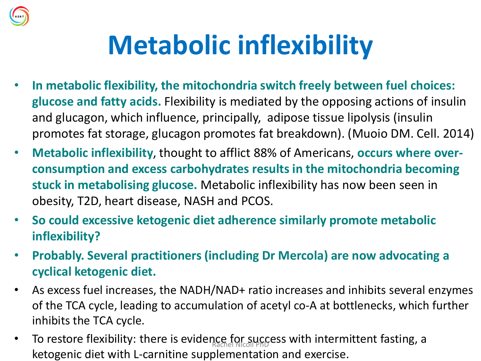

## **Metabolic inflexibility**

- **In metabolic flexibility, the mitochondria switch freely between fuel choices: glucose and fatty acids.** Flexibility is mediated by the opposing actions of insulin and glucagon, which influence, principally, adipose tissue lipolysis (insulin promotes fat storage, glucagon promotes fat breakdown). (Muoio DM. Cell. 2014)
- **Metabolic inflexibility**, thought to afflict 88% of Americans, **occurs where overconsumption and excess carbohydrates results in the mitochondria becoming stuck in metabolising glucose.** Metabolic inflexibility has now been seen in obesity, T2D, heart disease, NASH and PCOS.
- **So could excessive ketogenic diet adherence similarly promote metabolic inflexibility?**
- **Probably. Several practitioners (including Dr Mercola) are now advocating a cyclical ketogenic diet.**
- As excess fuel increases, the NADH/NAD+ ratio increases and inhibits several enzymes of the TCA cycle, leading to accumulation of acetyl co-A at bottlenecks, which further inhibits the TCA cycle.
- To restore flexibility: there is evidence for success with intermittent fasting, a ketogenic diet with L-carnitine supplementation and exercise.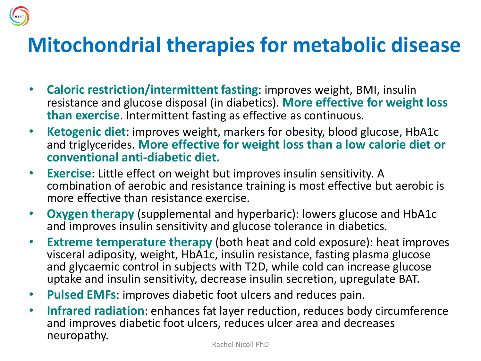#### **Mitochondrial therapies for metabolic disease**

- **Caloric restriction/intermittent fasting**: improves weight, BMI, insulin resistance and glucose disposal (in diabetics). **More effective for weight loss than exercise**. Intermittent fasting as effective as continuous.
- **Ketogenic diet**: improves weight, markers for obesity, blood glucose, HbA1c and triglycerides. **More effective for weight loss than a low calorie diet or conventional anti-diabetic diet.**
- **Exercise**: Little effect on weight but improves insulin sensitivity. A combination of aerobic and resistance training is most effective but aerobic is more effective than resistance exercise.
- **Oxygen therapy** (supplemental and hyperbaric): lowers glucose and HbA1c and improves insulin sensitivity and glucose tolerance in diabetics.
- **Extreme temperature therapy** (both heat and cold exposure): heat improves visceral adiposity, weight, HbA1c, insulin resistance, fasting plasma glucose and glycaemic control in subjects with T2D, while cold can increase glucose uptake and insulin sensitivity, decrease insulin secretion, upregulate BAT.
- **Pulsed EMFs**: improves diabetic foot ulcers and reduces pain.
- **Infrared radiation**: enhances fat layer reduction, reduces body circumference and improves diabetic foot ulcers, reduces ulcer area and decreases neuropathy.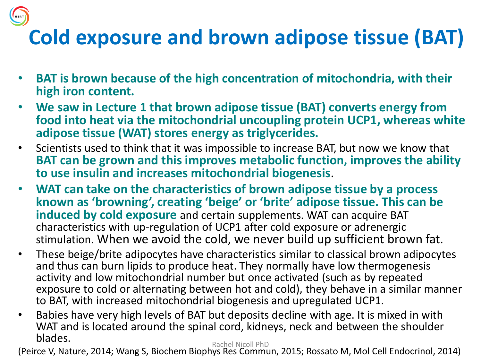## **Cold exposure and brown adipose tissue (BAT)**

- **BAT is brown because of the high concentration of mitochondria, with their high iron content.**
- **We saw in Lecture 1 that brown adipose tissue (BAT) converts energy from food into heat via the mitochondrial uncoupling protein UCP1, whereas white adipose tissue (WAT) stores energy as triglycerides.**
- Scientists used to think that it was impossible to increase BAT, but now we know that **BAT can be grown and this improves metabolic function, improves the ability to use insulin and increases mitochondrial biogenesis**.
- **WAT can take on the characteristics of brown adipose tissue by a process known as 'browning', creating 'beige' or 'brite' adipose tissue. This can be induced by cold exposure** and certain supplements. WAT can acquire BAT characteristics with up-regulation of UCP1 after cold exposure or adrenergic stimulation. When we avoid the cold, we never build up sufficient brown fat.
- These beige/brite adipocytes have characteristics similar to classical brown adipocytes and thus can burn lipids to produce heat. They normally have low thermogenesis activity and low mitochondrial number but once activated (such as by repeated exposure to cold or alternating between hot and cold), they behave in a similar manner to BAT, with increased mitochondrial biogenesis and upregulated UCP1.
- Babies have very high levels of BAT but deposits decline with age. It is mixed in with WAT and is located around the spinal cord, kidneys, neck and between the shoulder blades. Rachel Nicoll PhD

(Peirce V, Nature, 2014; Wang S, Biochem Biophys Res Commun, 2015; Rossato M, Mol Cell Endocrinol, 2014)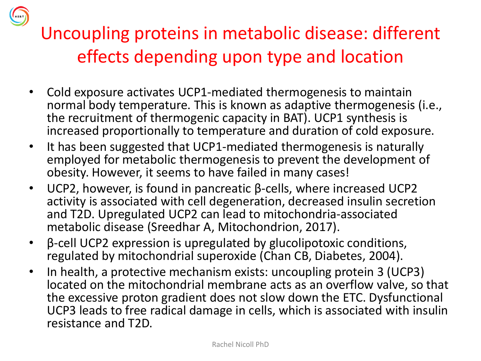Uncoupling proteins in metabolic disease: different effects depending upon type and location

- Cold exposure activates UCP1-mediated thermogenesis to maintain normal body temperature. This is known as adaptive thermogenesis (i.e., the recruitment of thermogenic capacity in BAT). UCP1 synthesis is increased proportionally to temperature and duration of cold exposure.
- It has been suggested that UCP1-mediated thermogenesis is naturally employed for metabolic thermogenesis to prevent the development of obesity. However, it seems to have failed in many cases!
- UCP2, however, is found in pancreatic β-cells, where increased UCP2 activity is associated with cell degeneration, decreased insulin secretion and T2D. Upregulated UCP2 can lead to mitochondria-associated metabolic disease (Sreedhar A, Mitochondrion, 2017).
- β-cell UCP2 expression is upregulated by glucolipotoxic conditions, regulated by mitochondrial superoxide (Chan CB, Diabetes, 2004).
- In health, a protective mechanism exists: uncoupling protein 3 (UCP3) located on the mitochondrial membrane acts as an overflow valve, so that the excessive proton gradient does not slow down the ETC. Dysfunctional UCP3 leads to free radical damage in cells, which is associated with insulin resistance and T2D.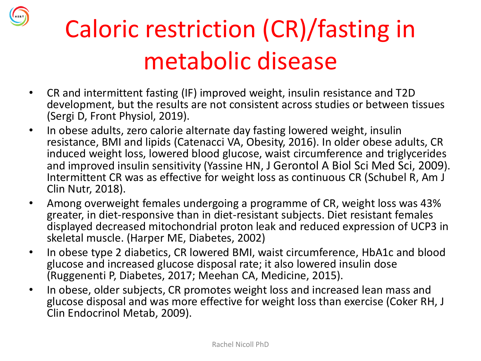

## Caloric restriction (CR)/fasting in metabolic disease

- CR and intermittent fasting (IF) improved weight, insulin resistance and T2D development, but the results are not consistent across studies or between tissues (Sergi D, Front Physiol, 2019).
- In obese adults, zero calorie alternate day fasting lowered weight, insulin resistance, BMI and lipids (Catenacci VA, Obesity, 2016). In older obese adults, CR induced weight loss, lowered blood glucose, waist circumference and triglycerides and improved insulin sensitivity (Yassine HN, J Gerontol A Biol Sci Med Sci, 2009). Intermittent CR was as effective for weight loss as continuous CR (Schubel R, Am J Clin Nutr, 2018).
- Among overweight females undergoing a programme of CR, weight loss was 43% greater, in diet-responsive than in diet-resistant subjects. Diet resistant females displayed decreased mitochondrial proton leak and reduced expression of UCP3 in skeletal muscle. (Harper ME, Diabetes, 2002)
- In obese type 2 diabetics, CR lowered BMI, waist circumference, HbA1c and blood glucose and increased glucose disposal rate; it also lowered insulin dose (Ruggenenti P, Diabetes, 2017; Meehan CA, Medicine, 2015).
- In obese, older subjects, CR promotes weight loss and increased lean mass and glucose disposal and was more effective for weight loss than exercise (Coker RH, J Clin Endocrinol Metab, 2009).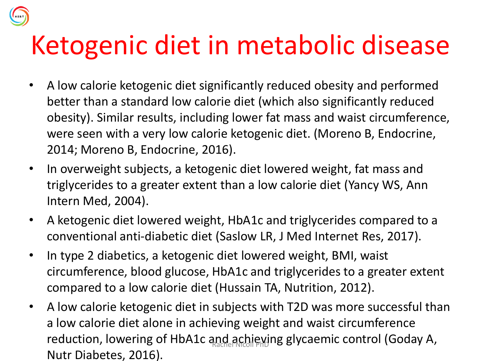## Ketogenic diet in metabolic disease

- A low calorie ketogenic diet significantly reduced obesity and performed better than a standard low calorie diet (which also significantly reduced obesity). Similar results, including lower fat mass and waist circumference, were seen with a very low calorie ketogenic diet. (Moreno B, Endocrine, 2014; Moreno B, Endocrine, 2016).
- In overweight subjects, a ketogenic diet lowered weight, fat mass and triglycerides to a greater extent than a low calorie diet (Yancy WS, Ann Intern Med, 2004).
- A ketogenic diet lowered weight, HbA1c and triglycerides compared to a conventional anti-diabetic diet (Saslow LR, J Med Internet Res, 2017).
- In type 2 diabetics, a ketogenic diet lowered weight, BMI, waist circumference, blood glucose, HbA1c and triglycerides to a greater extent compared to a low calorie diet (Hussain TA, Nutrition, 2012).
- A low calorie ketogenic diet in subjects with T2D was more successful than a low calorie diet alone in achieving weight and waist circumference reduction, lowering of HbA1c and achieving glycaemic control (Goday A, Nutr Diabetes, 2016).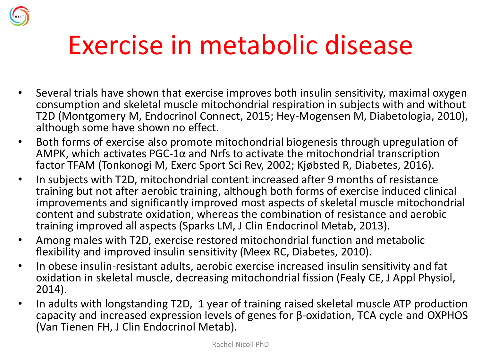## Exercise in metabolic disease

- Several trials have shown that exercise improves both insulin sensitivity, maximal oxygen consumption and skeletal muscle mitochondrial respiration in subjects with and without T2D (Montgomery M, Endocrinol Connect, 2015; Hey-Mogensen M, Diabetologia, 2010), although some have shown no effect.
- Both forms of exercise also promote mitochondrial biogenesis through upregulation of AMPK, which activates PGC-1 $\alpha$  and Nrfs to activate the mitochondrial transcription factor TFAM (Tonkonogi M, Exerc Sport Sci Rev, 2002; Kjøbsted R, Diabetes, 2016).
- In subjects with T2D, mitochondrial content increased after 9 months of resistance training but not after aerobic training, although both forms of exercise induced clinical improvements and significantly improved most aspects of skeletal muscle mitochondrial content and substrate oxidation, whereas the combination of resistance and aerobic training improved all aspects (Sparks LM, J Clin Endocrinol Metab, 2013).
- Among males with T2D, exercise restored mitochondrial function and metabolic flexibility and improved insulin sensitivity (Meex RC, Diabetes, 2010).
- In obese insulin-resistant adults, aerobic exercise increased insulin sensitivity and fat oxidation in skeletal muscle, decreasing mitochondrial fission (Fealy CE, J Appl Physiol, 2014).
- In adults with longstanding T2D, 1 year of training raised skeletal muscle ATP production capacity and increased expression levels of genes for β-oxidation, TCA cycle and OXPHOS (Van Tienen FH, J Clin Endocrinol Metab).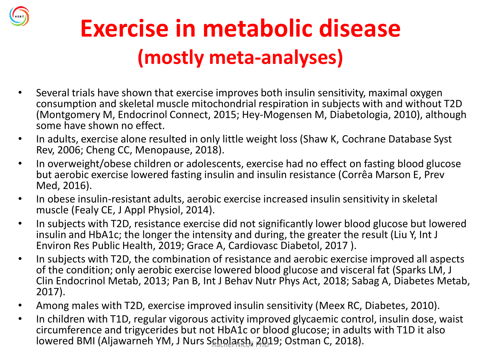

## **Exercise in metabolic disease (mostly meta-analyses)**

- Several trials have shown that exercise improves both insulin sensitivity, maximal oxygen consumption and skeletal muscle mitochondrial respiration in subjects with and without T2D (Montgomery M, Endocrinol Connect, 2015; Hey-Mogensen M, Diabetologia, 2010), although some have shown no effect.
- In adults, exercise alone resulted in only little weight loss (Shaw K, Cochrane Database Syst Rev, 2006; Cheng CC, Menopause, 2018).
- In overweight/obese children or adolescents, exercise had no effect on fasting blood glucose but aerobic exercise lowered fasting insulin and insulin resistance (Corrêa Marson E, Prev Med, 2016).
- In obese insulin-resistant adults, aerobic exercise increased insulin sensitivity in skeletal muscle (Fealy CE, J Appl Physiol, 2014).
- In subjects with T2D, resistance exercise did not significantly lower blood glucose but lowered insulin and HbA1c; the longer the intensity and during, the greater the result (Liu Y, Int J Environ Res Public Health, 2019; Grace A, Cardiovasc Diabetol, 2017 ).
- In subjects with T2D, the combination of resistance and aerobic exercise improved all aspects of the condition; only aerobic exercise lowered blood glucose and visceral fat (Sparks LM, J Clin Endocrinol Metab, 2013; Pan B, Int J Behav Nutr Phys Act, 2018; Sabag A, Diabetes Metab, 2017).
- Among males with T2D, exercise improved insulin sensitivity (Meex RC, Diabetes, 2010).
- In children with T1D, regular vigorous activity improved glycaemic control, insulin dose, waist circumference and trigycerides but not HbA1c or blood glucose; in adults with T1D it also lowered BMI (Aljawarneh YM, J Nurs Scholarsh, 2019; Ostman C, 2018).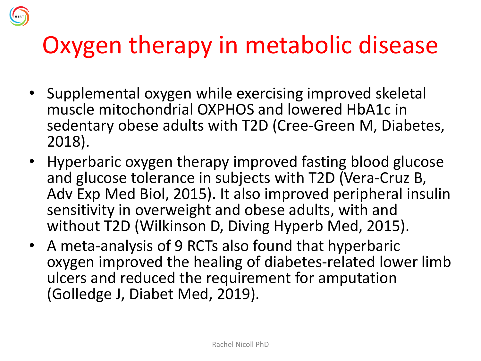## Oxygen therapy in metabolic disease

- Supplemental oxygen while exercising improved skeletal muscle mitochondrial OXPHOS and lowered HbA1c in sedentary obese adults with T2D (Cree-Green M, Diabetes, 2018).
- Hyperbaric oxygen therapy improved fasting blood glucose and glucose tolerance in subjects with T2D (Vera-Cruz B, Adv Exp Med Biol, 2015). It also improved peripheral insulin sensitivity in overweight and obese adults, with and without T2D (Wilkinson D, Diving Hyperb Med, 2015).
- A meta-analysis of 9 RCTs also found that hyperbaric oxygen improved the healing of diabetes-related lower limb ulcers and reduced the requirement for amputation (Golledge J, Diabet Med, 2019).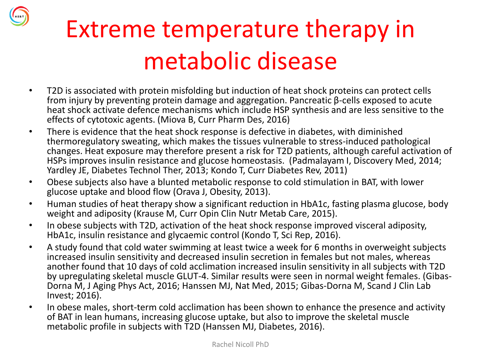## Extreme temperature therapy in metabolic disease

- T2D is associated with protein misfolding but induction of heat shock proteins can protect cells from injury by preventing protein damage and aggregation. Pancreatic β-cells exposed to acute heat shock activate defence mechanisms which include HSP synthesis and are less sensitive to the effects of cytotoxic agents. (Miova B, Curr Pharm Des, 2016)
- There is evidence that the heat shock response is defective in diabetes, with diminished thermoregulatory sweating, which makes the tissues vulnerable to stress-induced pathological changes. Heat exposure may therefore present a risk for T2D patients, although careful activation of HSPs improves insulin resistance and glucose homeostasis. (Padmalayam I, Discovery Med, 2014; Yardley JE, Diabetes Technol Ther, 2013; Kondo T, Curr Diabetes Rev, 2011)
- Obese subjects also have a blunted metabolic response to cold stimulation in BAT, with lower glucose uptake and blood flow (Orava J, Obesity, 2013).
- Human studies of heat therapy show a significant reduction in HbA1c, fasting plasma glucose, body weight and adiposity (Krause M, Curr Opin Clin Nutr Metab Care, 2015).
- In obese subjects with T2D, activation of the heat shock response improved visceral adiposity, HbA1c, insulin resistance and glycaemic control (Kondo T, Sci Rep, 2016).
- A study found that cold water swimming at least twice a week for 6 months in overweight subjects increased insulin sensitivity and decreased insulin secretion in females but not males, whereas another found that 10 days of cold acclimation increased insulin sensitivity in all subjects with T2D by upregulating skeletal muscle GLUT-4. Similar results were seen in normal weight females. (Gibas-Dorna M, J Aging Phys Act, 2016; Hanssen MJ, Nat Med, 2015; Gibas-Dorna M, Scand J Clin Lab Invest; 2016).
- In obese males, short-term cold acclimation has been shown to enhance the presence and activity of BAT in lean humans, increasing glucose uptake, but also to improve the skeletal muscle metabolic profile in subjects with T2D (Hanssen MJ, Diabetes, 2016).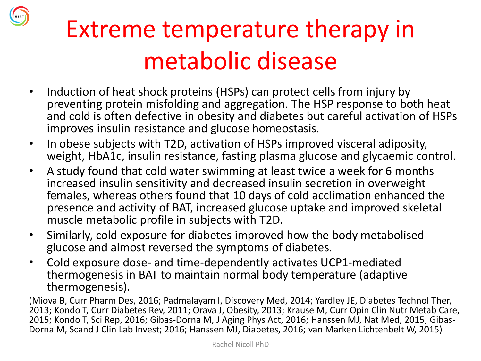

- Induction of heat shock proteins (HSPs) can protect cells from injury by preventing protein misfolding and aggregation. The HSP response to both heat and cold is often defective in obesity and diabetes but careful activation of HSPs improves insulin resistance and glucose homeostasis.
- In obese subjects with T2D, activation of HSPs improved visceral adiposity, weight, HbA1c, insulin resistance, fasting plasma glucose and glycaemic control.
- A study found that cold water swimming at least twice a week for 6 months increased insulin sensitivity and decreased insulin secretion in overweight females, whereas others found that 10 days of cold acclimation enhanced the presence and activity of BAT, increased glucose uptake and improved skeletal muscle metabolic profile in subjects with T2D.
- Similarly, cold exposure for diabetes improved how the body metabolised glucose and almost reversed the symptoms of diabetes.
- Cold exposure dose- and time-dependently activates UCP1-mediated thermogenesis in BAT to maintain normal body temperature (adaptive thermogenesis).

(Miova B, Curr Pharm Des, 2016; Padmalayam I, Discovery Med, 2014; Yardley JE, Diabetes Technol Ther, 2013; Kondo T, Curr Diabetes Rev, 2011; Orava J, Obesity, 2013; Krause M, Curr Opin Clin Nutr Metab Care, 2015; Kondo T, Sci Rep, 2016; Gibas-Dorna M, J Aging Phys Act, 2016; Hanssen MJ, Nat Med, 2015; Gibas-Dorna M, Scand J Clin Lab Invest; 2016; Hanssen MJ, Diabetes, 2016; van Marken Lichtenbelt W, 2015)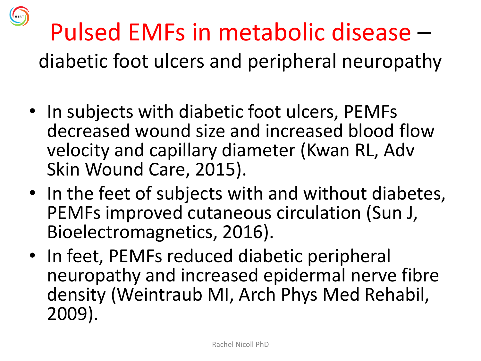

# Pulsed EMFs in metabolic disease –

diabetic foot ulcers and peripheral neuropathy

- In subjects with diabetic foot ulcers, PEMFs decreased wound size and increased blood flow velocity and capillary diameter (Kwan RL, Adv Skin Wound Care, 2015).
- In the feet of subjects with and without diabetes, PEMFs improved cutaneous circulation (Sun J, Bioelectromagnetics, 2016).
- In feet, PEMFs reduced diabetic peripheral neuropathy and increased epidermal nerve fibre density (Weintraub MI, Arch Phys Med Rehabil, 2009).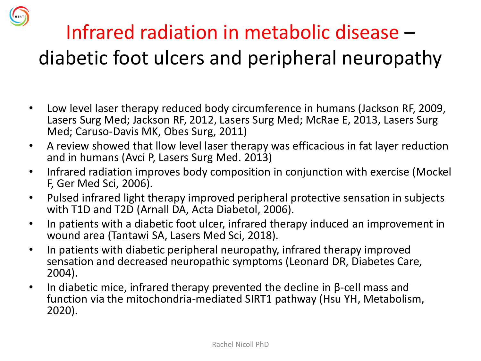

- Low level laser therapy reduced body circumference in humans (Jackson RF, 2009, Lasers Surg Med; Jackson RF, 2012, Lasers Surg Med; McRae E, 2013, Lasers Surg Med; Caruso-Davis MK, Obes Surg, 2011)
- A review showed that llow level laser therapy was efficacious in fat layer reduction and in humans (Avci P, Lasers Surg Med. 2013)
- Infrared radiation improves body composition in conjunction with exercise (Mockel F, Ger Med Sci, 2006).
- Pulsed infrared light therapy improved peripheral protective sensation in subjects with T1D and T2D (Arnall DA, Acta Diabetol, 2006).
- In patients with a diabetic foot ulcer, infrared therapy induced an improvement in wound area (Tantawi SA, Lasers Med Sci, 2018).
- In patients with diabetic peripheral neuropathy, infrared therapy improved sensation and decreased neuropathic symptoms (Leonard DR, Diabetes Care, 2004).
- In diabetic mice, infrared therapy prevented the decline in β-cell mass and function via the mitochondria-mediated SIRT1 pathway (Hsu YH, Metabolism, 2020).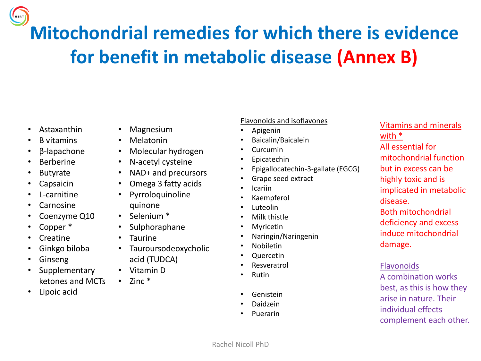**Mitochondrial remedies for which there is evidence for benefit in metabolic disease (Annex B)**

- Astaxanthin
- B vitamins
- β-lapachone
- Berberine
- Butyrate
- **Capsaicin**
- L-carnitine
- Carnosine
- Coenzyme Q10
- Copper \*
- Creatine
- Ginkgo biloba
- Ginseng
- Supplementary ketones and MCTs
- Lipoic acid
- Magnesium
- Melatonin
- Molecular hydrogen
- N-acetyl cysteine
- NAD+ and precursors
- Omega 3 fatty acids
- Pyrroloquinoline quinone
- Selenium \*
- Sulphoraphane
- Taurine
- Tauroursodeoxycholic acid (TUDCA)
- Vitamin D
- $\cdot$  7inc  $*$
- Flavonoids and isoflavones
- Apigenin
- Baicalin/Baicalein
- Curcumin
- Epicatechin
- Epigallocatechin-3-gallate (EGCG)
- Grape seed extract
- Icariin
- Kaempferol
- Luteolin
- Milk thistle
- Myricetin
- Naringin/Naringenin
- Nobiletin
- Quercetin
- **Resveratrol**
- Rutin
- Genistein
- Daidzein
- Puerarin

Vitamins and minerals with \* All essential for mitochondrial function but in excess can be highly toxic and is implicated in metabolic disease. Both mitochondrial deficiency and excess induce mitochondrial damage.

#### Flavonoids

A combination works best, as this is how they arise in nature. Their individual effects complement each other.